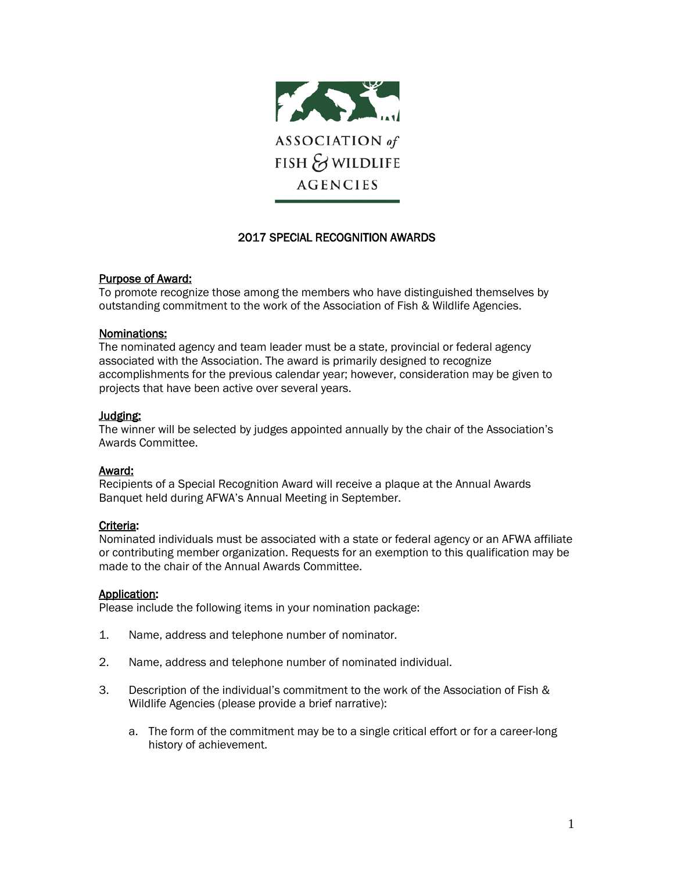

# 2017 SPECIAL RECOGNITION AWARDS

### Purpose of Award:

To promote recognize those among the members who have distinguished themselves by outstanding commitment to the work of the Association of Fish & Wildlife Agencies.

#### Nominations:

The nominated agency and team leader must be a state, provincial or federal agency associated with the Association. The award is primarily designed to recognize accomplishments for the previous calendar year; however, consideration may be given to projects that have been active over several years.

### Judging:

The winner will be selected by judges appointed annually by the chair of the Association's Awards Committee.

## Award:

Recipients of a Special Recognition Award will receive a plaque at the Annual Awards Banquet held during AFWA's Annual Meeting in September.

## Criteria:

Nominated individuals must be associated with a state or federal agency or an AFWA affiliate or contributing member organization. Requests for an exemption to this qualification may be made to the chair of the Annual Awards Committee.

#### Application:

Please include the following items in your nomination package:

- 1. Name, address and telephone number of nominator.
- 2. Name, address and telephone number of nominated individual.
- 3. Description of the individual's commitment to the work of the Association of Fish & Wildlife Agencies (please provide a brief narrative):
	- a. The form of the commitment may be to a single critical effort or for a career-long history of achievement.